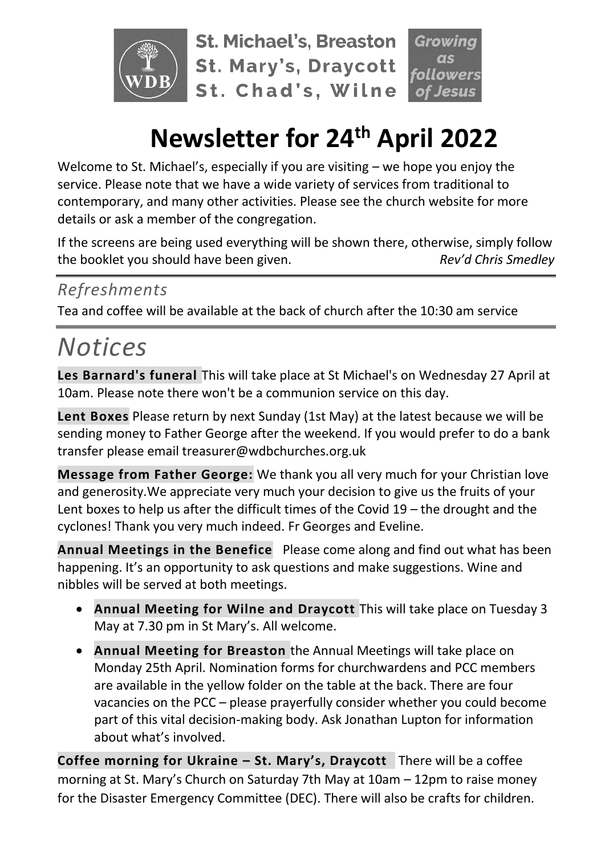

**St. Michael's, Breaston St. Mary's, Draycott** St. Chad's, Wilne



# **Newsletter for 24th April 2022**

Welcome to St. Michael's, especially if you are visiting – we hope you enjoy the service. Please note that we have a wide variety of services from traditional to contemporary, and many other activities. Please see the church website for more details or ask a member of the congregation.

If the screens are being used everything will be shown there, otherwise, simply follow the booklet you should have been given. *Rev'd Chris Smedley*

### *Refreshments*

Tea and coffee will be available at the back of church after the 10:30 am service

# *Notices*

**Les Barnard's funeral** This will take place at St Michael's on Wednesday 27 April at 10am. Please note there won't be a communion service on this day.

**Lent Boxes** Please return by next Sunday (1st May) at the latest because we will be sending money to Father George after the weekend. If you would prefer to do a bank transfer please email treasurer@wdbchurches.org.uk

**Message from Father George:** We thank you all very much for your Christian love and generosity.We appreciate very much your decision to give us the fruits of your Lent boxes to help us after the difficult times of the Covid 19 – the drought and the cyclones! Thank you very much indeed. Fr Georges and Eveline.

**Annual Meetings in the Benefice** Please come along and find out what has been happening. It's an opportunity to ask questions and make suggestions. Wine and nibbles will be served at both meetings.

- **Annual Meeting for Wilne and Draycott** This will take place on Tuesday 3 May at 7.30 pm in St Mary's. All welcome.
- **Annual Meeting for Breaston** the Annual Meetings will take place on Monday 25th April. Nomination forms for churchwardens and PCC members are available in the yellow folder on the table at the back. There are four vacancies on the PCC – please prayerfully consider whether you could become part of this vital decision-making body. Ask Jonathan Lupton for information about what's involved.

**Coffee morning for Ukraine – St. Mary's, Draycott** There will be a coffee morning at St. Mary's Church on Saturday 7th May at 10am – 12pm to raise money for the Disaster Emergency Committee (DEC). There will also be crafts for children.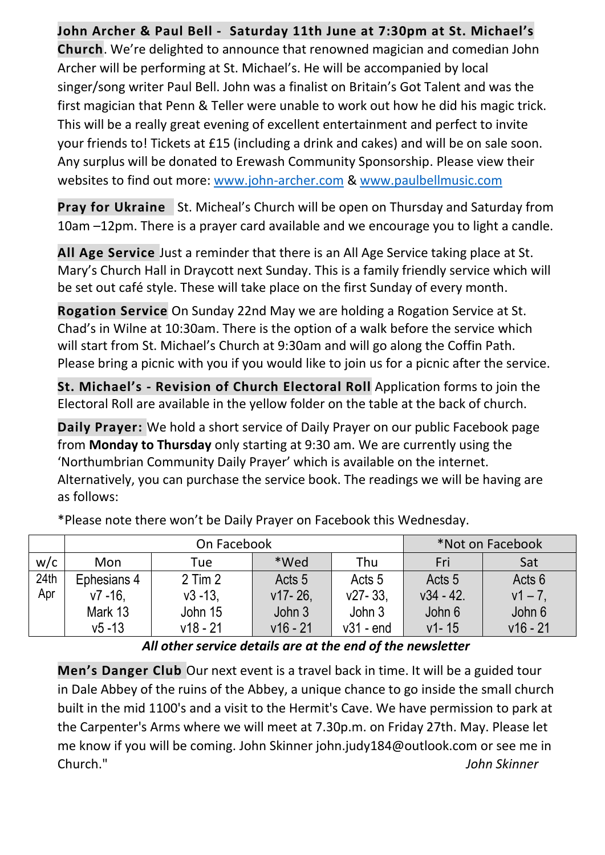#### **John Archer & Paul Bell - Saturday 11th June at 7:30pm at St. Michael's**

**Church**. We're delighted to announce that renowned magician and comedian John Archer will be performing at St. Michael's. He will be accompanied by local singer/song writer Paul Bell. John was a finalist on Britain's Got Talent and was the first magician that Penn & Teller were unable to work out how he did his magic trick. This will be a really great evening of excellent entertainment and perfect to invite your friends to! Tickets at £15 (including a drink and cakes) and will be on sale soon. Any surplus will be donated to Erewash Community Sponsorship. Please view their websites to find out more: [www.john-archer.com](http://www.john-archer.com/) & [www.paulbellmusic.com](http://www.paulbellmusic.com/)

**Pray for Ukraine** St. Micheal's Church will be open on Thursday and Saturday from 10am –12pm. There is a prayer card available and we encourage you to light a candle.

**All Age Service** Just a reminder that there is an All Age Service taking place at St. Mary's Church Hall in Draycott next Sunday. This is a family friendly service which will be set out café style. These will take place on the first Sunday of every month.

**Rogation Service** On Sunday 22nd May we are holding a Rogation Service at St. Chad's in Wilne at 10:30am. There is the option of a walk before the service which will start from St. Michael's Church at 9:30am and will go along the Coffin Path. Please bring a picnic with you if you would like to join us for a picnic after the service.

**St. Michael's - Revision of Church Electoral Roll** Application forms to join the Electoral Roll are available in the yellow folder on the table at the back of church.

**Daily Prayer:** We hold a short service of Daily Prayer on our public Facebook page from **Monday to Thursday** only starting at 9:30 am. We are currently using the 'Northumbrian Community Daily Prayer' which is available on the internet. Alternatively, you can purchase the service book. The readings we will be having are as follows:

|      | On Facebook |             |            |                   | *Not on Facebook  |            |
|------|-------------|-------------|------------|-------------------|-------------------|------------|
| w/c  | Mon         | Tue         | *Wed       | Thu               | Fri               | Sat        |
| 24th | Ephesians 4 | $2$ Tim $2$ | Acts 5     | Acts <sub>5</sub> | Acts <sub>5</sub> | Acts 6     |
| Apr  | $v7 - 16$ . | $v3 - 13$ , | $v17 - 26$ | $v27 - 33$        | $v34 - 42.$       | $v1 - 7$ , |
|      | Mark 13     | John 15     | John 3     | John 3            | John 6            | John 6     |
|      | $v5 - 13$   | $v18 - 21$  | $v16 - 21$ | $v31 - end$       | $v1 - 15$         | $v16 - 21$ |

\*Please note there won't be Daily Prayer on Facebook this Wednesday.

*All other service details are at the end of the newsletter*

**Men's Danger Club** Our next event is a travel back in time. It will be a guided tour in Dale Abbey of the ruins of the Abbey, a unique chance to go inside the small church built in the mid 1100's and a visit to the Hermit's Cave. We have permission to park at the Carpenter's Arms where we will meet at 7.30p.m. on Friday 27th. May. Please let me know if you will be coming. John Skinner john.judy184@outlook.com or see me in Church." *John Skinner*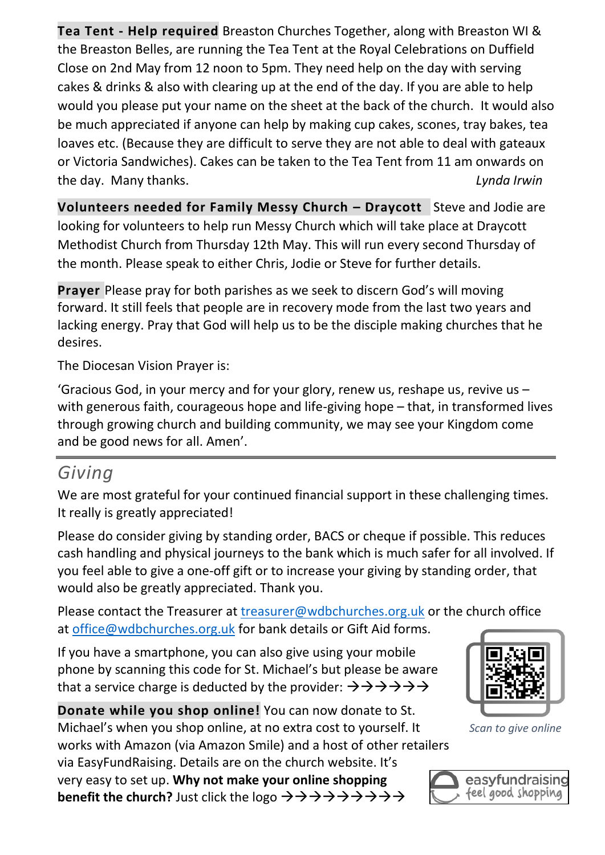**Tea Tent - Help required** Breaston Churches Together, along with Breaston WI & the Breaston Belles, are running the Tea Tent at the Royal Celebrations on Duffield Close on 2nd May from 12 noon to 5pm. They need help on the day with serving cakes & drinks & also with clearing up at the end of the day. If you are able to help would you please put your name on the sheet at the back of the church. It would also be much appreciated if anyone can help by making cup cakes, scones, tray bakes, tea loaves etc. (Because they are difficult to serve they are not able to deal with gateaux or Victoria Sandwiches). Cakes can be taken to the Tea Tent from 11 am onwards on the day. Many thanks. *Lynda Irwin*

**Volunteers needed for Family Messy Church – Draycott** Steve and Jodie are looking for volunteers to help run Messy Church which will take place at Draycott Methodist Church from Thursday 12th May. This will run every second Thursday of the month. Please speak to either Chris, Jodie or Steve for further details.

**Prayer** Please pray for both parishes as we seek to discern God's will moving forward. It still feels that people are in recovery mode from the last two years and lacking energy. Pray that God will help us to be the disciple making churches that he desires.

The Diocesan Vision Prayer is:

'Gracious God, in your mercy and for your glory, renew us, reshape us, revive us – with generous faith, courageous hope and life-giving hope – that, in transformed lives through growing church and building community, we may see your Kingdom come and be good news for all. Amen'.

### *Giving*

We are most grateful for your continued financial support in these challenging times. It really is greatly appreciated!

Please do consider giving by standing order, BACS or cheque if possible. This reduces cash handling and physical journeys to the bank which is much safer for all involved. If you feel able to give a one-off gift or to increase your giving by standing order, that would also be greatly appreciated. Thank you.

Please contact the Treasurer at [treasurer@wdbchurches.org.uk](mailto:treasurer@wdbchurches.org.uk) or the church office at [office@wdbchurches.org.uk](mailto:office@wdbchurches.org.uk) for bank details or Gift Aid forms.

If you have a smartphone, you can also give using your mobile phone by scanning this code for St. Michael's but please be aware that a service charge is deducted by the provider:  $\rightarrow \rightarrow \rightarrow \rightarrow \rightarrow \rightarrow$ 

**Donate while you shop online!** You can now donate to St. Michael's when you shop online, at no extra cost to yourself. It works with Amazon (via Amazon Smile) and a host of other retailers via EasyFundRaising. Details are on the [church website](http://www.stmichaelsbreaston.org.uk/index.php/113-news/236-giving-online). It's very easy to set up. **Why not make your online shopping benefit the church?** Just click the logo  $\rightarrow \rightarrow \rightarrow \rightarrow \rightarrow \rightarrow \rightarrow \rightarrow \rightarrow$ 



*Scan to give online*